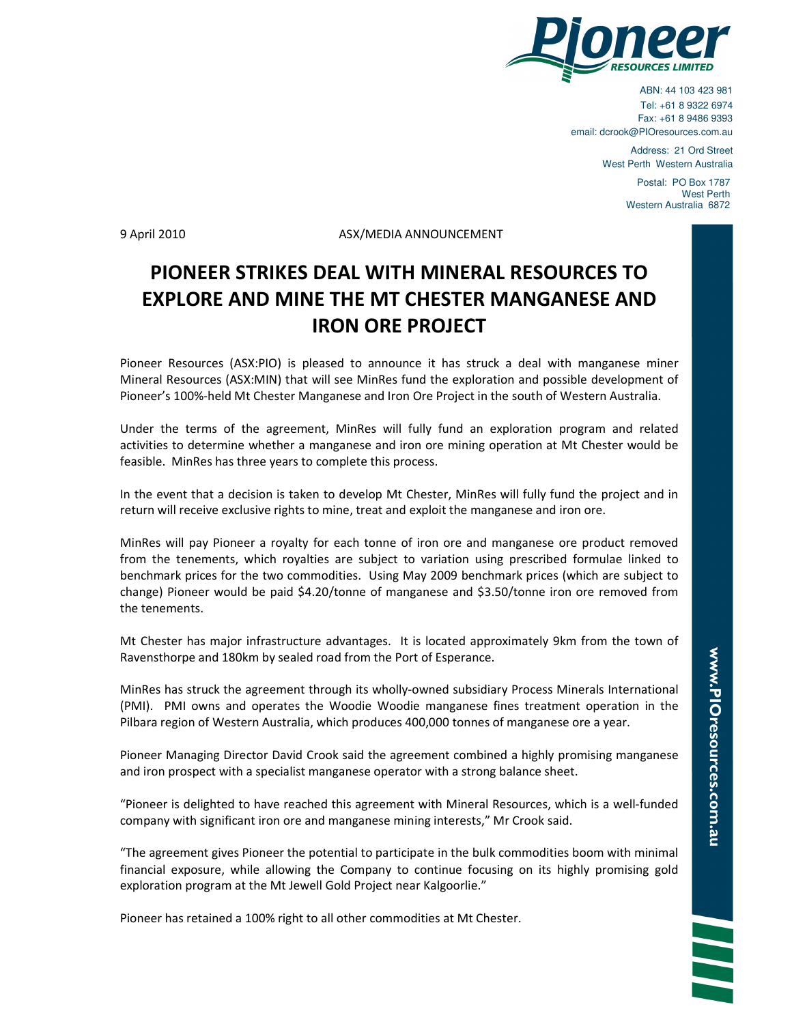

ABN: 44 103 423 981 Tel: +61 8 9322 6974 Fax: +61 8 9486 9393 email: dcrook@PIOresources.com.au

> Address: 21 Ord Street West Perth Western Australia

> > Postal: PO Box 1787 West Perth Western Australia 6872

9 April 2010 ASX/MEDIA ANNOUNCEMENT

## PIONEER STRIKES DEAL WITH MINERAL RESOURCES TO EXPLORE AND MINE THE MT CHESTER MANGANESE AND IRON ORE PROJECT

Pioneer Resources (ASX:PIO) is pleased to announce it has struck a deal with manganese miner Mineral Resources (ASX:MIN) that will see MinRes fund the exploration and possible development of Pioneer's 100%-held Mt Chester Manganese and Iron Ore Project in the south of Western Australia.

Under the terms of the agreement, MinRes will fully fund an exploration program and related activities to determine whether a manganese and iron ore mining operation at Mt Chester would be feasible. MinRes has three years to complete this process.

In the event that a decision is taken to develop Mt Chester, MinRes will fully fund the project and in return will receive exclusive rights to mine, treat and exploit the manganese and iron ore.

MinRes will pay Pioneer a royalty for each tonne of iron ore and manganese ore product removed from the tenements, which royalties are subject to variation using prescribed formulae linked to benchmark prices for the two commodities. Using May 2009 benchmark prices (which are subject to change) Pioneer would be paid \$4.20/tonne of manganese and \$3.50/tonne iron ore removed from the tenements.

Mt Chester has major infrastructure advantages. It is located approximately 9km from the town of Ravensthorpe and 180km by sealed road from the Port of Esperance.

MinRes has struck the agreement through its wholly-owned subsidiary Process Minerals International (PMI). PMI owns and operates the Woodie Woodie manganese fines treatment operation in the Pilbara region of Western Australia, which produces 400,000 tonnes of manganese ore a year.

Pioneer Managing Director David Crook said the agreement combined a highly promising manganese and iron prospect with a specialist manganese operator with a strong balance sheet.

"Pioneer is delighted to have reached this agreement with Mineral Resources, which is a well-funded company with significant iron ore and manganese mining interests," Mr Crook said.

"The agreement gives Pioneer the potential to participate in the bulk commodities boom with minimal financial exposure, while allowing the Company to continue focusing on its highly promising gold exploration program at the Mt Jewell Gold Project near Kalgoorlie."

Pioneer has retained a 100% right to all other commodities at Mt Chester.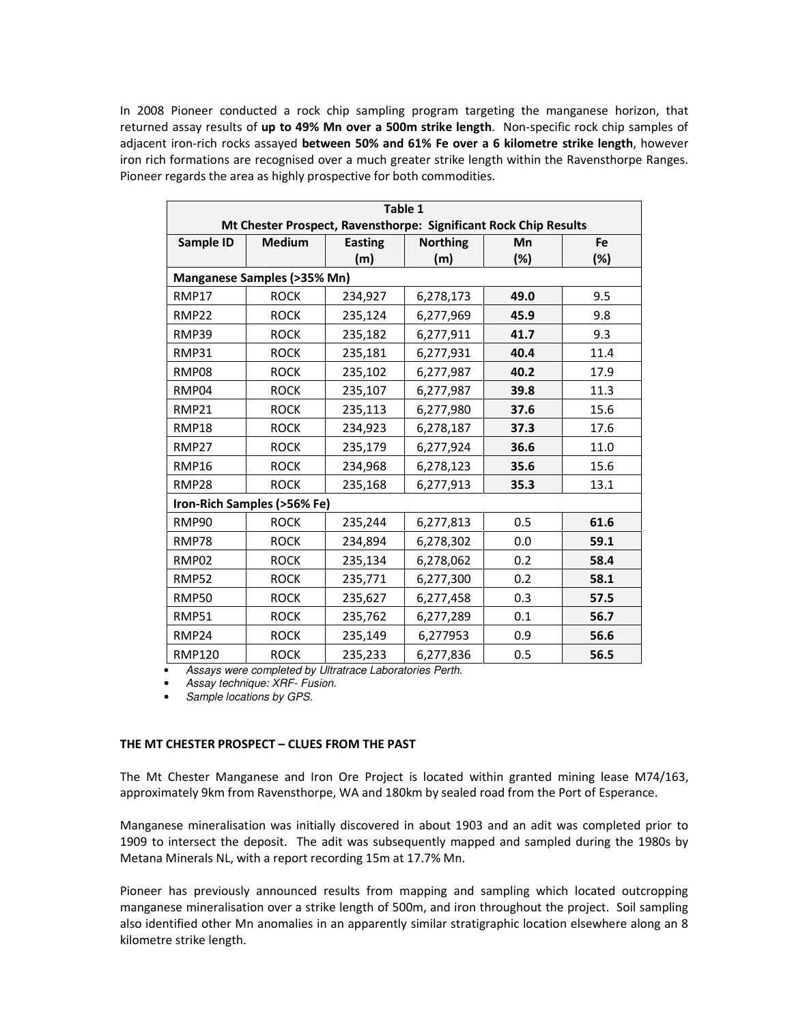In 2008 Pioneer conducted a rock chip sampling program targeting the manganese horizon, that returned assay results of up to 49% Mn over a 500m strike length. Non-specific rock chip samples of adjacent iron-rich rocks assayed between 50% and 61% Fe over a 6 kilometre strike length, however iron rich formations are recognised over a much greater strike length within the Ravensthorpe Ranges. Pioneer regards the area as highly prospective for both commodities.

| Table 1                                                                                                    |             |                       |                        |      |      |
|------------------------------------------------------------------------------------------------------------|-------------|-----------------------|------------------------|------|------|
| Mt Chester Prospect, Ravensthorpe: Significant Rock Chip Results<br>Sample ID<br><b>Medium</b><br>Fe<br>Mn |             |                       |                        |      |      |
|                                                                                                            |             | <b>Easting</b><br>(m) | <b>Northing</b><br>(m) | (%)  | (%)  |
| Manganese Samples (>35% Mn)                                                                                |             |                       |                        |      |      |
|                                                                                                            |             |                       |                        |      |      |
| <b>RMP17</b>                                                                                               | <b>ROCK</b> | 234,927               | 6,278,173              | 49.0 | 9.5  |
| <b>RMP22</b>                                                                                               | <b>ROCK</b> | 235,124               | 6,277,969              | 45.9 | 9.8  |
| RMP39                                                                                                      | <b>ROCK</b> | 235,182               | 6,277,911              | 41.7 | 9.3  |
| <b>RMP31</b>                                                                                               | <b>ROCK</b> | 235,181               | 6,277,931              | 40.4 | 11.4 |
| RMP08                                                                                                      | <b>ROCK</b> | 235,102               | 6,277,987              | 40.2 | 17.9 |
| RMP04                                                                                                      | <b>ROCK</b> | 235,107               | 6,277,987              | 39.8 | 11.3 |
| RMP21                                                                                                      | <b>ROCK</b> | 235,113               | 6,277,980              | 37.6 | 15.6 |
| <b>RMP18</b>                                                                                               | <b>ROCK</b> | 234,923               | 6,278,187              | 37.3 | 17.6 |
| <b>RMP27</b>                                                                                               | <b>ROCK</b> | 235,179               | 6,277,924              | 36.6 | 11.0 |
| <b>RMP16</b>                                                                                               | <b>ROCK</b> | 234,968               | 6,278,123              | 35.6 | 15.6 |
| <b>RMP28</b>                                                                                               | <b>ROCK</b> | 235,168               | 6,277,913              | 35.3 | 13.1 |
| Iron-Rich Samples (>56% Fe)                                                                                |             |                       |                        |      |      |
| RMP90                                                                                                      | <b>ROCK</b> | 235,244               | 6,277,813              | 0.5  | 61.6 |
| RMP78                                                                                                      | <b>ROCK</b> | 234,894               | 6,278,302              | 0.0  | 59.1 |
| RMP02                                                                                                      | <b>ROCK</b> | 235,134               | 6,278,062              | 0.2  | 58.4 |
| <b>RMP52</b>                                                                                               | <b>ROCK</b> | 235,771               | 6,277,300              | 0.2  | 58.1 |
| <b>RMP50</b>                                                                                               | <b>ROCK</b> | 235,627               | 6,277,458              | 0.3  | 57.5 |
| RMP51                                                                                                      | <b>ROCK</b> | 235,762               | 6,277,289              | 0.1  | 56.7 |
| RMP24                                                                                                      | <b>ROCK</b> | 235,149               | 6,277953               | 0.9  | 56.6 |
| <b>RMP120</b>                                                                                              | <b>ROCK</b> | 235,233               | 6,277,836              | 0.5  | 56.5 |

• Assays were completed by Ultratrace Laboratories Perth.

- Assay technique: XRF- Fusion.
- Sample locations by GPS.

## THE MT CHESTER PROSPECT – CLUES FROM THE PAST

The Mt Chester Manganese and Iron Ore Project is located within granted mining lease M74/163, approximately 9km from Ravensthorpe, WA and 180km by sealed road from the Port of Esperance.

Manganese mineralisation was initially discovered in about 1903 and an adit was completed prior to 1909 to intersect the deposit. The adit was subsequently mapped and sampled during the 1980s by Metana Minerals NL, with a report recording 15m at 17.7% Mn.

Pioneer has previously announced results from mapping and sampling which located outcropping manganese mineralisation over a strike length of 500m, and iron throughout the project. Soil sampling also identified other Mn anomalies in an apparently similar stratigraphic location elsewhere along an 8 kilometre strike length.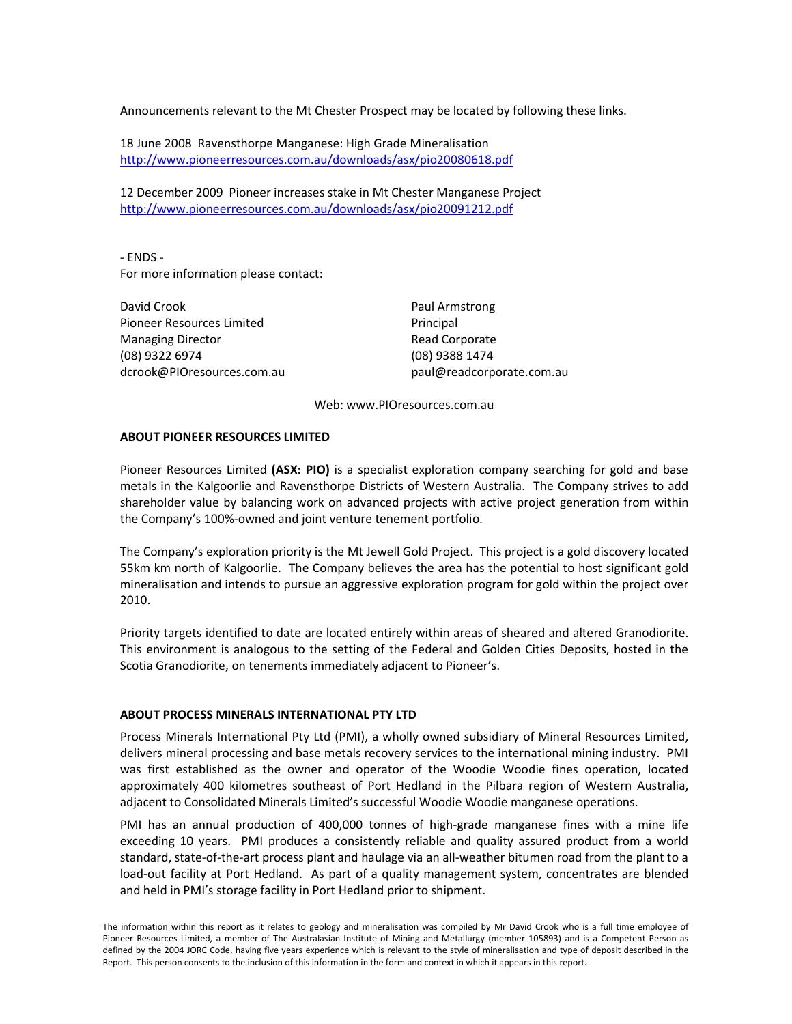Announcements relevant to the Mt Chester Prospect may be located by following these links.

18 June 2008 Ravensthorpe Manganese: High Grade Mineralisation http://www.pioneerresources.com.au/downloads/asx/pio20080618.pdf

12 December 2009 Pioneer increases stake in Mt Chester Manganese Project http://www.pioneerresources.com.au/downloads/asx/pio20091212.pdf

- ENDS - For more information please contact:

David Crook Pioneer Resources Limited Managing Director (08) 9322 6974 dcrook@PIOresources.com.au Paul Armstrong Principal Read Corporate (08) 9388 1474 paul@readcorporate.com.au

Web: www.PIOresources.com.au

## ABOUT PIONEER RESOURCES LIMITED

Pioneer Resources Limited (ASX: PIO) is a specialist exploration company searching for gold and base metals in the Kalgoorlie and Ravensthorpe Districts of Western Australia. The Company strives to add shareholder value by balancing work on advanced projects with active project generation from within the Company's 100%-owned and joint venture tenement portfolio.

The Company's exploration priority is the Mt Jewell Gold Project. This project is a gold discovery located 55km km north of Kalgoorlie. The Company believes the area has the potential to host significant gold mineralisation and intends to pursue an aggressive exploration program for gold within the project over 2010.

Priority targets identified to date are located entirely within areas of sheared and altered Granodiorite. This environment is analogous to the setting of the Federal and Golden Cities Deposits, hosted in the Scotia Granodiorite, on tenements immediately adjacent to Pioneer's.

## ABOUT PROCESS MINERALS INTERNATIONAL PTY LTD

Process Minerals International Pty Ltd (PMI), a wholly owned subsidiary of Mineral Resources Limited, delivers mineral processing and base metals recovery services to the international mining industry. PMI was first established as the owner and operator of the Woodie Woodie fines operation, located approximately 400 kilometres southeast of Port Hedland in the Pilbara region of Western Australia, adjacent to Consolidated Minerals Limited's successful Woodie Woodie manganese operations.

PMI has an annual production of 400,000 tonnes of high-grade manganese fines with a mine life exceeding 10 years. PMI produces a consistently reliable and quality assured product from a world standard, state-of-the-art process plant and haulage via an all-weather bitumen road from the plant to a load-out facility at Port Hedland. As part of a quality management system, concentrates are blended and held in PMI's storage facility in Port Hedland prior to shipment.

The information within this report as it relates to geology and mineralisation was compiled by Mr David Crook who is a full time employee of Pioneer Resources Limited, a member of The Australasian Institute of Mining and Metallurgy (member 105893) and is a Competent Person as defined by the 2004 JORC Code, having five years experience which is relevant to the style of mineralisation and type of deposit described in the Report. This person consents to the inclusion of this information in the form and context in which it appears in this report.